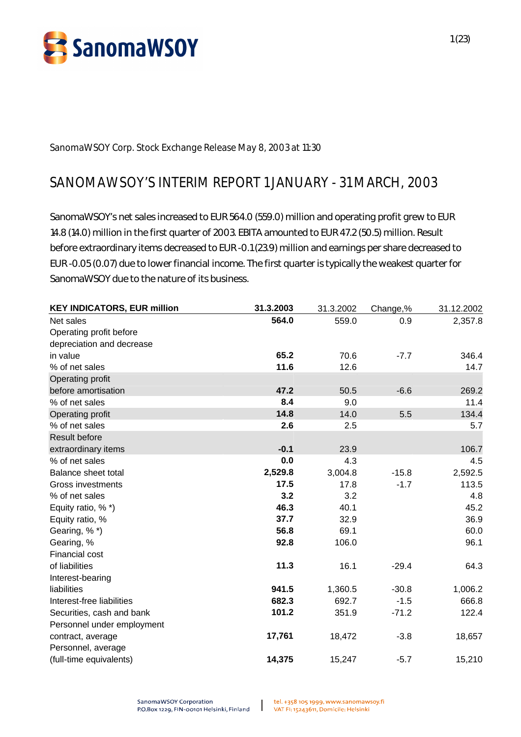

**SanomaWSOY Corp. Stock Exchange Release May 8, 2003 at 11:30**

# **SANOMAWSOY'S INTERIM REPORT 1 JANUARY - 31 MARCH, 2003**

SanomaWSOY's net sales increased to EUR 564.0 (559.0) million and operating profit grew to EUR 14.8 (14.0) million in the first quarter of 2003. EBITA amounted to EUR 47.2 (50.5) million. Result before extraordinary items decreased to EUR -0.1 (23.9) million and earnings per share decreased to EUR -0.05 (0.07) due to lower financial income. The first quarter is typically the weakest quarter for SanomaWSOY due to the nature of its business.

| <b>KEY INDICATORS, EUR million</b> | 31.3.2003 | 31.3.2002 | Change,% | 31.12.2002 |
|------------------------------------|-----------|-----------|----------|------------|
| Net sales                          | 564.0     | 559.0     | 0.9      | 2,357.8    |
| Operating profit before            |           |           |          |            |
| depreciation and decrease          |           |           |          |            |
| in value                           | 65.2      | 70.6      | $-7.7$   | 346.4      |
| % of net sales                     | 11.6      | 12.6      |          | 14.7       |
| Operating profit                   |           |           |          |            |
| before amortisation                | 47.2      | 50.5      | $-6.6$   | 269.2      |
| % of net sales                     | 8.4       | 9.0       |          | 11.4       |
| Operating profit                   | 14.8      | 14.0      | 5.5      | 134.4      |
| % of net sales                     | 2.6       | 2.5       |          | 5.7        |
| <b>Result before</b>               |           |           |          |            |
| extraordinary items                | $-0.1$    | 23.9      |          | 106.7      |
| % of net sales                     | 0.0       | 4.3       |          | 4.5        |
| Balance sheet total                | 2,529.8   | 3,004.8   | $-15.8$  | 2,592.5    |
| <b>Gross investments</b>           | 17.5      | 17.8      | $-1.7$   | 113.5      |
| % of net sales                     | 3.2       | 3.2       |          | 4.8        |
| Equity ratio, %*)                  | 46.3      | 40.1      |          | 45.2       |
| Equity ratio, %                    | 37.7      | 32.9      |          | 36.9       |
| Gearing, %*)                       | 56.8      | 69.1      |          | 60.0       |
| Gearing, %                         | 92.8      | 106.0     |          | 96.1       |
| Financial cost                     |           |           |          |            |
| of liabilities                     | 11.3      | 16.1      | $-29.4$  | 64.3       |
| Interest-bearing                   |           |           |          |            |
| liabilities                        | 941.5     | 1,360.5   | $-30.8$  | 1,006.2    |
| Interest-free liabilities          | 682.3     | 692.7     | $-1.5$   | 666.8      |
| Securities, cash and bank          | 101.2     | 351.9     | $-71.2$  | 122.4      |
| Personnel under employment         |           |           |          |            |
| contract, average                  | 17,761    | 18,472    | $-3.8$   | 18,657     |
| Personnel, average                 |           |           |          |            |
| (full-time equivalents)            | 14,375    | 15,247    | $-5.7$   | 15,210     |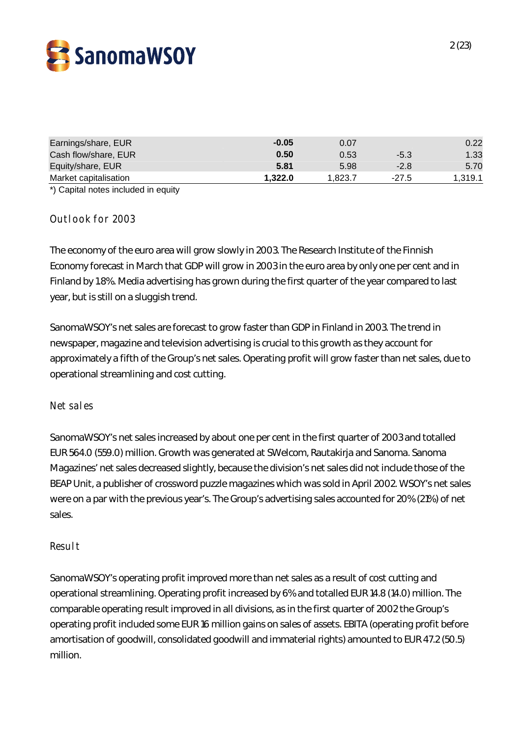

| Earnings/share, EUR   | $-0.05$ | 0.07    |         | 0.22    |
|-----------------------|---------|---------|---------|---------|
| Cash flow/share, EUR  | 0.50    | 0.53    | $-5.3$  | 1.33    |
| Equity/share, EUR     | 5.81    | 5.98    | $-2.8$  | 5.70    |
| Market capitalisation | 1.322.0 | 1.823.7 | $-27.5$ | 1,319.1 |

\*) Capital notes included in equity

## **Outlook for 2003**

The economy of the euro area will grow slowly in 2003. The Research Institute of the Finnish Economy forecast in March that GDP will grow in 2003 in the euro area by only one per cent and in Finland by 1.8%. Media advertising has grown during the first quarter of the year compared to last year, but is still on a sluggish trend.

SanomaWSOY's net sales are forecast to grow faster than GDP in Finland in 2003. The trend in newspaper, magazine and television advertising is crucial to this growth as they account for approximately a fifth of the Group's net sales. Operating profit will grow faster than net sales, due to operational streamlining and cost cutting.

#### **Net sales**

SanomaWSOY's net sales increased by about one per cent in the first quarter of 2003 and totalled EUR 564.0 (559.0) million. Growth was generated at SWelcom, Rautakirja and Sanoma. Sanoma Magazines' net sales decreased slightly, because the division's net sales did not include those of the BEAP Unit, a publisher of crossword puzzle magazines which was sold in April 2002. WSOY's net sales were on a par with the previous year's. The Group's advertising sales accounted for 20% (21%) of net sales.

#### **Result**

SanomaWSOY's operating profit improved more than net sales as a result of cost cutting and operational streamlining. Operating profit increased by 6% and totalled EUR 14.8 (14.0) million. The comparable operating result improved in all divisions, as in the first quarter of 2002 the Group's operating profit included some EUR 16 million gains on sales of assets. EBITA (operating profit before amortisation of goodwill, consolidated goodwill and immaterial rights) amounted to EUR 47.2 (50.5) million.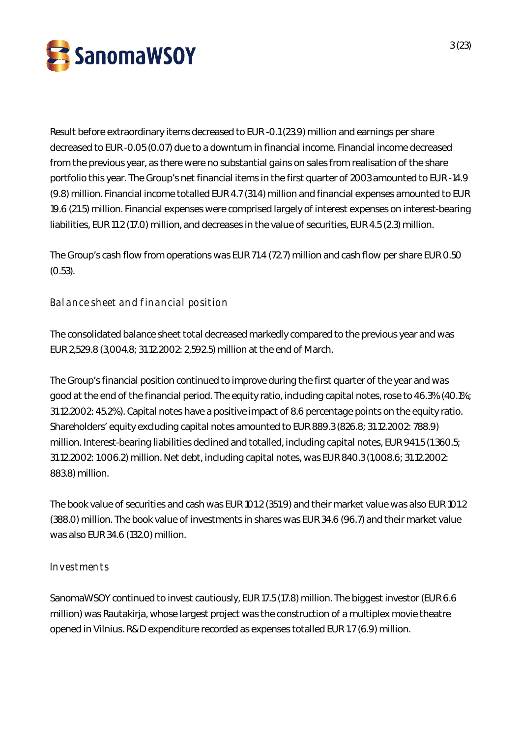

Result before extraordinary items decreased to EUR -0.1 (23.9) million and earnings per share decreased to EUR -0.05 (0.07) due to a downturn in financial income. Financial income decreased from the previous year, as there were no substantial gains on sales from realisation of the share portfolio this year. The Group's net financial items in the first quarter of 2003 amounted to EUR -14.9 (9.8) million. Financial income totalled EUR 4.7 (31.4) million and financial expenses amounted to EUR 19.6 (21.5) million. Financial expenses were comprised largely of interest expenses on interest-bearing liabilities, EUR 11.2 (17.0) million, and decreases in the value of securities, EUR 4.5 (2.3) million.

The Group's cash flow from operations was EUR 71.4 (72.7) million and cash flow per share EUR 0.50 (0.53).

**Balance sheet and financial position**

The consolidated balance sheet total decreased markedly compared to the previous year and was EUR 2,529.8 (3,004.8; 31.12.2002: 2,592.5) million at the end of March.

The Group's financial position continued to improve during the first quarter of the year and was good at the end of the financial period. The equity ratio, including capital notes, rose to 46.3% (40.1%; 31.12.2002: 45.2%). Capital notes have a positive impact of 8.6 percentage points on the equity ratio. Shareholders' equity excluding capital notes amounted to EUR 889.3 (826.8; 31.12.2002: 788.9) million. Interest-bearing liabilities declined and totalled, including capital notes, EUR 941.5 (1 360.5; 31.12.2002: 1 006.2) million. Net debt, including capital notes, was EUR 840.3 (1,008.6; 31.12.2002: 883.8) million.

The book value of securities and cash was EUR 101.2 (351.9) and their market value was also EUR 101.2 (388.0) million. The book value of investments in shares was EUR 34.6 (96.7) and their market value was also EUR 34.6 (132.0) million.

## **Investments**

SanomaWSOY continued to invest cautiously, EUR 17.5 (17.8) million. The biggest investor (EUR 6.6 million) was Rautakirja, whose largest project was the construction of a multiplex movie theatre opened in Vilnius. R&D expenditure recorded as expenses totalled EUR 1.7 (6.9) million.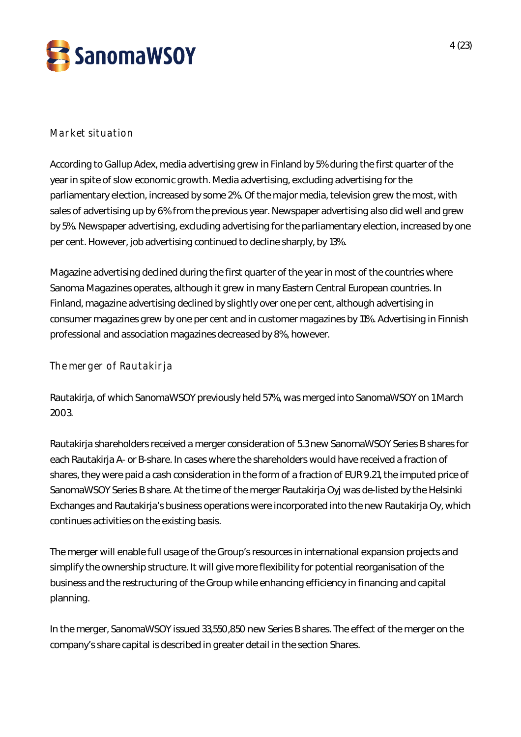

## **Market situation**

According to Gallup Adex, media advertising grew in Finland by 5% during the first quarter of the year in spite of slow economic growth. Media advertising, excluding advertising for the parliamentary election, increased by some 2%. Of the major media, television grew the most, with sales of advertising up by 6% from the previous year. Newspaper advertising also did well and grew by 5%. Newspaper advertising, excluding advertising for the parliamentary election, increased by one per cent. However, job advertising continued to decline sharply, by 13%.

Magazine advertising declined during the first quarter of the year in most of the countries where Sanoma Magazines operates, although it grew in many Eastern Central European countries. In Finland, magazine advertising declined by slightly over one per cent, although advertising in consumer magazines grew by one per cent and in customer magazines by 11%. Advertising in Finnish professional and association magazines decreased by 8%, however.

**The merger of Rautakirja**

Rautakirja, of which SanomaWSOY previously held 57%, was merged into SanomaWSOY on 1 March 2003.

Rautakirja shareholders received a merger consideration of 5.3 new SanomaWSOY Series B shares for each Rautakirja A- or B-share. In cases where the shareholders would have received a fraction of shares, they were paid a cash consideration in the form of a fraction of EUR 9.21, the imputed price of SanomaWSOY Series B share. At the time of the merger Rautakirja Oyj was de-listed by the Helsinki Exchanges and Rautakirja's business operations were incorporated into the new Rautakirja Oy, which continues activities on the existing basis.

The merger will enable full usage of the Group's resources in international expansion projects and simplify the ownership structure. It will give more flexibility for potential reorganisation of the business and the restructuring of the Group while enhancing efficiency in financing and capital planning.

In the merger, SanomaWSOY issued 33,550,850 new Series B shares. The effect of the merger on the company's share capital is described in greater detail in the section Shares.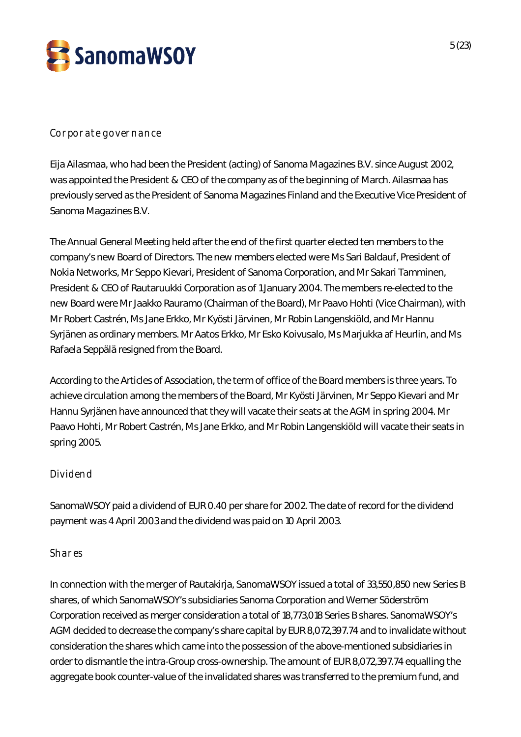

## **Corporate governance**

Eija Ailasmaa, who had been the President (acting) of Sanoma Magazines B.V. since August 2002, was appointed the President & CEO of the company as of the beginning of March. Ailasmaa has previously served as the President of Sanoma Magazines Finland and the Executive Vice President of Sanoma Magazines B.V.

The Annual General Meeting held after the end of the first quarter elected ten members to the company's new Board of Directors. The new members elected were Ms Sari Baldauf, President of Nokia Networks, Mr Seppo Kievari, President of Sanoma Corporation, and Mr Sakari Tamminen, President & CEO of Rautaruukki Corporation as of 1 January 2004. The members re-elected to the new Board were Mr Jaakko Rauramo (Chairman of the Board), Mr Paavo Hohti (Vice Chairman), with Mr Robert Castrén, Ms Jane Erkko, Mr Kyösti Järvinen, Mr Robin Langenskiöld, and Mr Hannu Syrjänen as ordinary members. Mr Aatos Erkko, Mr Esko Koivusalo, Ms Marjukka af Heurlin, and Ms Rafaela Seppälä resigned from the Board.

According to the Articles of Association, the term of office of the Board members is three years. To achieve circulation among the members of the Board, Mr Kyösti Järvinen, Mr Seppo Kievari and Mr Hannu Syrjänen have announced that they will vacate their seats at the AGM in spring 2004. Mr Paavo Hohti, Mr Robert Castrén, Ms Jane Erkko, and Mr Robin Langenskiöld will vacate their seats in spring 2005.

## **Dividend**

SanomaWSOY paid a dividend of EUR 0.40 per share for 2002. The date of record for the dividend payment was 4 April 2003 and the dividend was paid on 10 April 2003.

## **Shares**

In connection with the merger of Rautakirja, SanomaWSOY issued a total of 33,550,850 new Series B shares, of which SanomaWSOY's subsidiaries Sanoma Corporation and Werner Söderström Corporation received as merger consideration a total of 18,773,018 Series B shares. SanomaWSOY's AGM decided to decrease the company's share capital by EUR 8,072,397.74 and to invalidate without consideration the shares which came into the possession of the above-mentioned subsidiaries in order to dismantle the intra-Group cross-ownership. The amount of EUR 8,072,397.74 equalling the aggregate book counter-value of the invalidated shares was transferred to the premium fund, and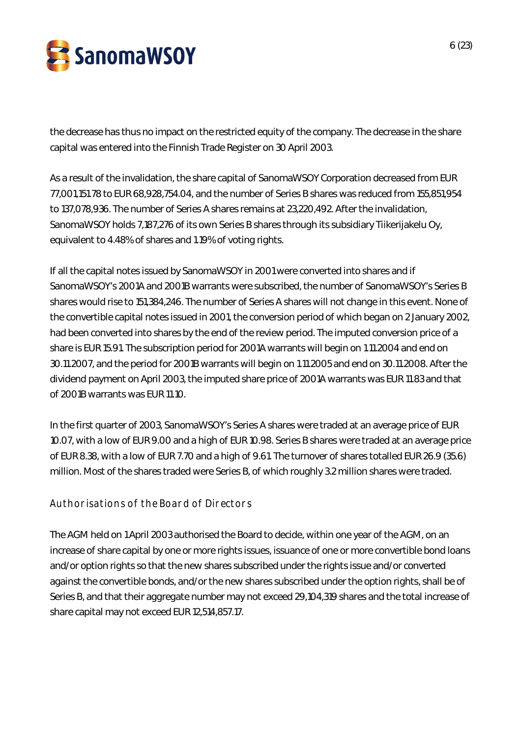

the decrease has thus no impact on the restricted equity of the company. The decrease in the share capital was entered into the Finnish Trade Register on 30 April 2003.

As a result of the invalidation, the share capital of SanomaWSOY Corporation decreased from EUR 77,001,151.78 to EUR 68,928,754.04, and the number of Series B shares was reduced from 155,851,954 to 137,078,936. The number of Series A shares remains at 23,220,492. After the invalidation, SanomaWSOY holds 7,187,276 of its own Series B shares through its subsidiary Tiikerijakelu Oy, equivalent to 4.48% of shares and 1.19% of voting rights.

If all the capital notes issued by SanomaWSOY in 2001 were converted into shares and if SanomaWSOY's 2001A and 2001B warrants were subscribed, the number of SanomaWSOY's Series B shares would rise to 151,384,246. The number of Series A shares will not change in this event. None of the convertible capital notes issued in 2001, the conversion period of which began on 2 January 2002, had been converted into shares by the end of the review period. The imputed conversion price of a share is EUR 15.91. The subscription period for 2001A warrants will begin on 1.11.2004 and end on 30.11.2007, and the period for 2001B warrants will begin on 1.11.2005 and end on 30.11.2008. After the dividend payment on April 2003, the imputed share price of 2001A warrants was EUR 11.83 and that of 2001B warrants was EUR 11.10.

In the first quarter of 2003, SanomaWSOY's Series A shares were traded at an average price of EUR 10.07, with a low of EUR 9.00 and a high of EUR 10.98. Series B shares were traded at an average price of EUR 8.38, with a low of EUR 7.70 and a high of 9.61. The turnover of shares totalled EUR 26.9 (35.6) million. Most of the shares traded were Series B, of which roughly 3.2 million shares were traded.

## **Authorisations of the Board of Directors**

The AGM held on 1 April 2003 authorised the Board to decide, within one year of the AGM, on an increase of share capital by one or more rights issues, issuance of one or more convertible bond loans and/or option rights so that the new shares subscribed under the rights issue and/or converted against the convertible bonds, and/or the new shares subscribed under the option rights, shall be of Series B, and that their aggregate number may not exceed 29,104,319 shares and the total increase of share capital may not exceed EUR 12,514,857.17.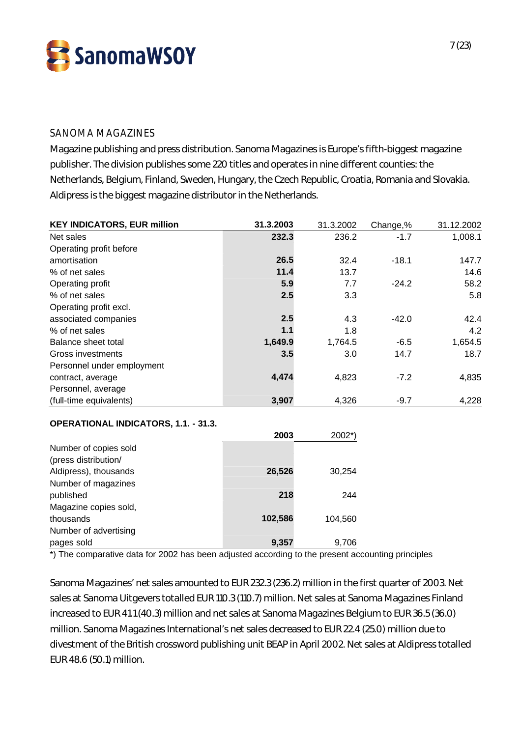

## SANOMA MAGAZINES

Magazine publishing and press distribution. Sanoma Magazines is Europe's fifth-biggest magazine publisher. The division publishes some 220 titles and operates in nine different counties: the Netherlands, Belgium, Finland, Sweden, Hungary, the Czech Republic, Croatia, Romania and Slovakia. Aldipress is the biggest magazine distributor in the Netherlands.

| <b>KEY INDICATORS, EUR million</b> | 31.3.2003 | 31.3.2002 | Change,% | 31.12.2002 |
|------------------------------------|-----------|-----------|----------|------------|
| Net sales                          | 232.3     | 236.2     | $-1.7$   | 1,008.1    |
| Operating profit before            |           |           |          |            |
| amortisation                       | 26.5      | 32.4      | $-18.1$  | 147.7      |
| % of net sales                     | 11.4      | 13.7      |          | 14.6       |
| Operating profit                   | 5.9       | 7.7       | $-24.2$  | 58.2       |
| % of net sales                     | 2.5       | 3.3       |          | 5.8        |
| Operating profit excl.             |           |           |          |            |
| associated companies               | 2.5       | 4.3       | $-42.0$  | 42.4       |
| % of net sales                     | 1.1       | 1.8       |          | 4.2        |
| Balance sheet total                | 1,649.9   | 1,764.5   | $-6.5$   | 1,654.5    |
| Gross investments                  | 3.5       | 3.0       | 14.7     | 18.7       |
| Personnel under employment         |           |           |          |            |
| contract, average                  | 4,474     | 4,823     | $-7.2$   | 4,835      |
| Personnel, average                 |           |           |          |            |
| (full-time equivalents)            | 3,907     | 4,326     | $-9.7$   | 4,228      |

#### **OPERATIONAL INDICATORS, 1.1. - 31.3.**

|                       | 2003    | 2002*)  |
|-----------------------|---------|---------|
| Number of copies sold |         |         |
| (press distribution/  |         |         |
| Aldipress), thousands | 26,526  | 30,254  |
| Number of magazines   |         |         |
| published             | 218     | 244     |
| Magazine copies sold, |         |         |
| thousands             | 102,586 | 104,560 |
| Number of advertising |         |         |
| pages sold            | 9,357   | 9.706   |

\*) The comparative data for 2002 has been adjusted according to the present accounting principles

Sanoma Magazines' net sales amounted to EUR 232.3 (236.2) million in the first quarter of 2003. Net sales at Sanoma Uitgevers totalled EUR 110.3 (110.7) million. Net sales at Sanoma Magazines Finland increased to EUR 41.1 (40.3) million and net sales at Sanoma Magazines Belgium to EUR 36.5 (36.0) million. Sanoma Magazines International's net sales decreased to EUR 22.4 (25.0) million due to divestment of the British crossword publishing unit BEAP in April 2002. Net sales at Aldipress totalled EUR 48.6 (50.1) million.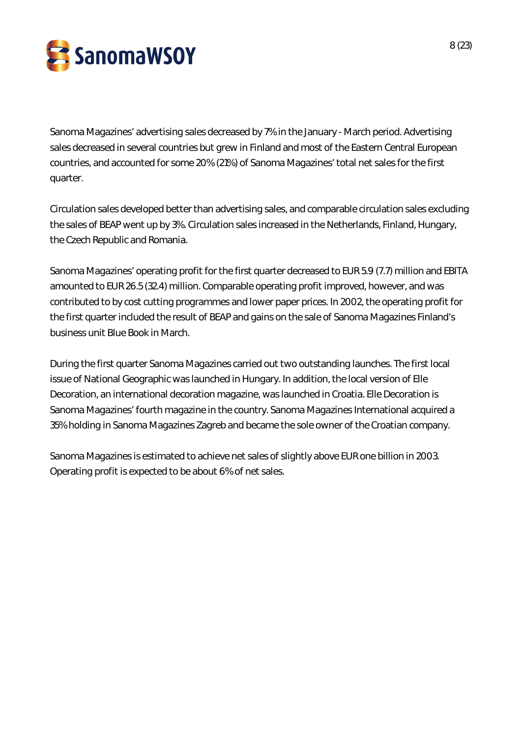

Sanoma Magazines' advertising sales decreased by 7% in the January - March period. Advertising sales decreased in several countries but grew in Finland and most of the Eastern Central European countries, and accounted for some 20% (21%) of Sanoma Magazines' total net sales for the first quarter.

Circulation sales developed better than advertising sales, and comparable circulation sales excluding the sales of BEAP went up by 3%. Circulation sales increased in the Netherlands, Finland, Hungary, the Czech Republic and Romania.

Sanoma Magazines' operating profit for the first quarter decreased to EUR 5.9 (7.7) million and EBITA amounted to EUR 26.5 (32.4) million. Comparable operating profit improved, however, and was contributed to by cost cutting programmes and lower paper prices. In 2002, the operating profit for the first quarter included the result of BEAP and gains on the sale of Sanoma Magazines Finland's business unit Blue Book in March.

During the first quarter Sanoma Magazines carried out two outstanding launches. The first local issue of National Geographic was launched in Hungary. In addition, the local version of Elle Decoration, an international decoration magazine, was launched in Croatia. Elle Decoration is Sanoma Magazines' fourth magazine in the country. Sanoma Magazines International acquired a 35% holding in Sanoma Magazines Zagreb and became the sole owner of the Croatian company.

Sanoma Magazines is estimated to achieve net sales of slightly above EUR one billion in 2003. Operating profit is expected to be about 6% of net sales.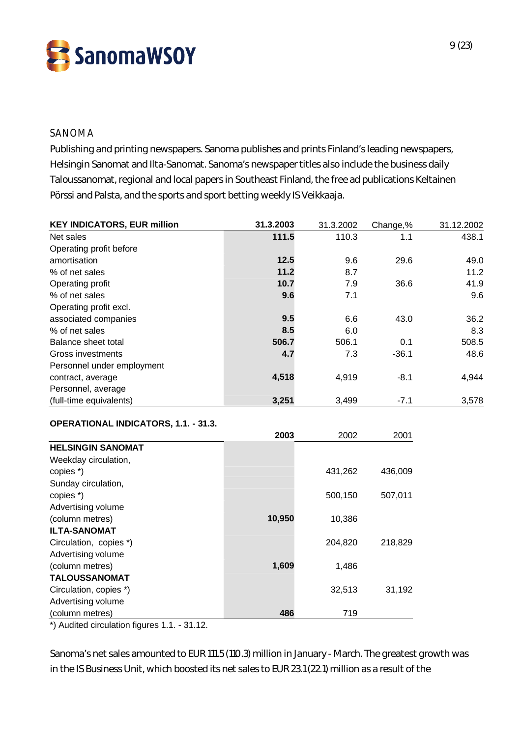

## SANOMA

Publishing and printing newspapers. Sanoma publishes and prints Finland's leading newspapers, Helsingin Sanomat and Ilta-Sanomat. Sanoma's newspaper titles also include the business daily Taloussanomat, regional and local papers in Southeast Finland, the free ad publications Keltainen Pörssi and Palsta, and the sports and sport betting weekly IS Veikkaaja.

| <b>KEY INDICATORS, EUR million</b> | 31.3.2003 | 31.3.2002 | Change,% | 31.12.2002 |
|------------------------------------|-----------|-----------|----------|------------|
| Net sales                          | 111.5     | 110.3     | 1.1      | 438.1      |
| Operating profit before            |           |           |          |            |
| amortisation                       | 12.5      | 9.6       | 29.6     | 49.0       |
| % of net sales                     | 11.2      | 8.7       |          | 11.2       |
| Operating profit                   | 10.7      | 7.9       | 36.6     | 41.9       |
| % of net sales                     | 9.6       | 7.1       |          | 9.6        |
| Operating profit excl.             |           |           |          |            |
| associated companies               | 9.5       | 6.6       | 43.0     | 36.2       |
| % of net sales                     | 8.5       | 6.0       |          | 8.3        |
| Balance sheet total                | 506.7     | 506.1     | 0.1      | 508.5      |
| Gross investments                  | 4.7       | 7.3       | $-36.1$  | 48.6       |
| Personnel under employment         |           |           |          |            |
| contract, average                  | 4,518     | 4,919     | $-8.1$   | 4,944      |
| Personnel, average                 |           |           |          |            |
| (full-time equivalents)            | 3,251     | 3,499     | $-7.1$   | 3,578      |

#### **OPERATIONAL INDICATORS, 1.1. - 31.3.**

|                          | 2003   | 2002    | 2001    |
|--------------------------|--------|---------|---------|
| <b>HELSINGIN SANOMAT</b> |        |         |         |
| Weekday circulation,     |        |         |         |
| copies *)                |        | 431,262 | 436,009 |
| Sunday circulation,      |        |         |         |
| copies *)                |        | 500,150 | 507,011 |
| Advertising volume       |        |         |         |
| (column metres)          | 10,950 | 10,386  |         |
| <b>ILTA-SANOMAT</b>      |        |         |         |
| Circulation, copies *)   |        | 204,820 | 218,829 |
| Advertising volume       |        |         |         |
| (column metres)          | 1,609  | 1,486   |         |
| <b>TALOUSSANOMAT</b>     |        |         |         |
| Circulation, copies *)   |        | 32,513  | 31,192  |
| Advertising volume       |        |         |         |
| (column metres)          | 486    | 719     |         |

\*) Audited circulation figures 1.1. - 31.12.

Sanoma's net sales amounted to EUR 111.5 (110.3) million in January - March. The greatest growth was in the IS Business Unit, which boosted its net sales to EUR 23.1 (22.1) million as a result of the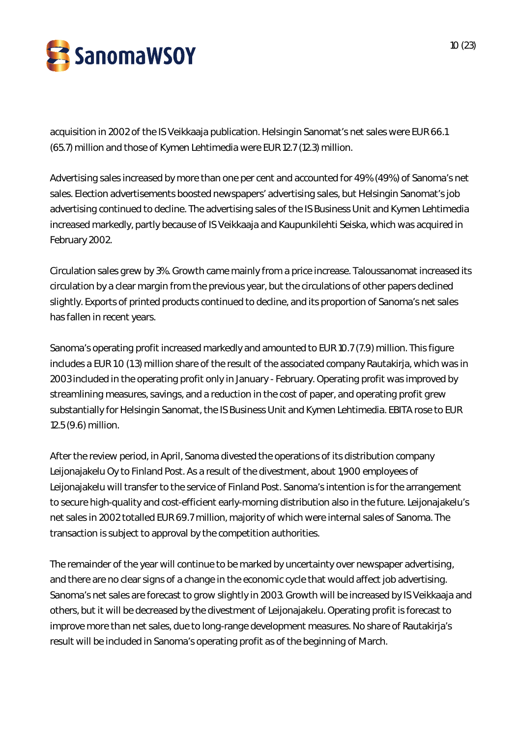

acquisition in 2002 of the IS Veikkaaja publication. Helsingin Sanomat's net sales were EUR 66.1 (65.7) million and those of Kymen Lehtimedia were EUR 12.7 (12.3) million.

Advertising sales increased by more than one per cent and accounted for 49% (49%) of Sanoma's net sales. Election advertisements boosted newspapers' advertising sales, but Helsingin Sanomat's job advertising continued to decline. The advertising sales of the IS Business Unit and Kymen Lehtimedia increased markedly, partly because of IS Veikkaaja and Kaupunkilehti Seiska, which was acquired in February 2002.

Circulation sales grew by 3%. Growth came mainly from a price increase. Taloussanomat increased its circulation by a clear margin from the previous year, but the circulations of other papers declined slightly. Exports of printed products continued to decline, and its proportion of Sanoma's net sales has fallen in recent years.

Sanoma's operating profit increased markedly and amounted to EUR 10.7 (7.9) million. This figure includes a EUR 1.0 (1.3) million share of the result of the associated company Rautakirja, which was in 2003 included in the operating profit only in January - February. Operating profit was improved by streamlining measures, savings, and a reduction in the cost of paper, and operating profit grew substantially for Helsingin Sanomat, the IS Business Unit and Kymen Lehtimedia. EBITA rose to EUR 12.5 (9.6) million.

After the review period, in April, Sanoma divested the operations of its distribution company Leijonajakelu Oy to Finland Post. As a result of the divestment, about 1,900 employees of Leijonajakelu will transfer to the service of Finland Post. Sanoma's intention is for the arrangement to secure high-quality and cost-efficient early-morning distribution also in the future. Leijonajakelu's net sales in 2002 totalled EUR 69.7 million, majority of which were internal sales of Sanoma. The transaction is subject to approval by the competition authorities.

The remainder of the year will continue to be marked by uncertainty over newspaper advertising, and there are no clear signs of a change in the economic cycle that would affect job advertising. Sanoma's net sales are forecast to grow slightly in 2003. Growth will be increased by IS Veikkaaja and others, but it will be decreased by the divestment of Leijonajakelu. Operating profit is forecast to improve more than net sales, due to long-range development measures. No share of Rautakirja's result will be included in Sanoma's operating profit as of the beginning of March.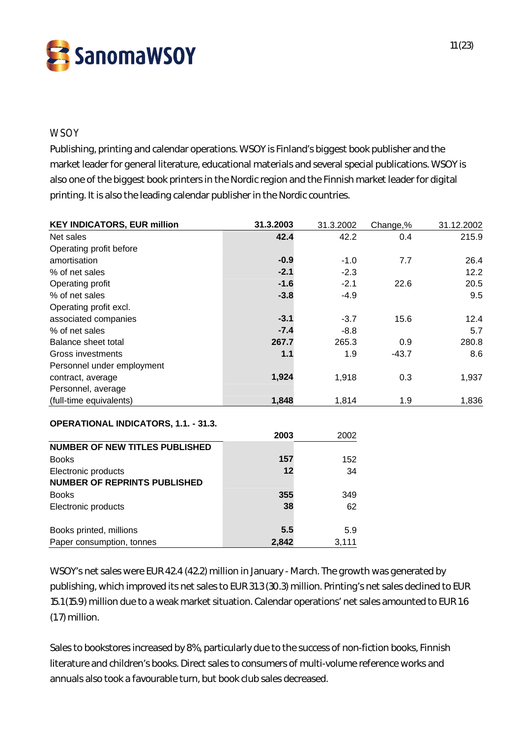

## **WSOY**

Publishing, printing and calendar operations. WSOY is Finland's biggest book publisher and the market leader for general literature, educational materials and several special publications. WSOY is also one of the biggest book printers in the Nordic region and the Finnish market leader for digital printing. It is also the leading calendar publisher in the Nordic countries.

| <b>KEY INDICATORS, EUR million</b>          | 31.3.2003 | 31.3.2002 | Change,% | 31.12.2002 |
|---------------------------------------------|-----------|-----------|----------|------------|
| Net sales                                   | 42.4      | 42.2      | 0.4      | 215.9      |
| Operating profit before                     |           |           |          |            |
| amortisation                                | $-0.9$    | $-1.0$    | 7.7      | 26.4       |
| % of net sales                              | $-2.1$    | $-2.3$    |          | 12.2       |
| Operating profit                            | $-1.6$    | $-2.1$    | 22.6     | 20.5       |
| % of net sales                              | $-3.8$    | $-4.9$    |          | 9.5        |
| Operating profit excl.                      |           |           |          |            |
| associated companies                        | $-3.1$    | $-3.7$    | 15.6     | 12.4       |
| % of net sales                              | $-7.4$    | $-8.8$    |          | 5.7        |
| Balance sheet total                         | 267.7     | 265.3     | 0.9      | 280.8      |
| Gross investments                           | 1.1       | 1.9       | $-43.7$  | 8.6        |
| Personnel under employment                  |           |           |          |            |
| contract, average                           | 1,924     | 1,918     | 0.3      | 1,937      |
| Personnel, average                          |           |           |          |            |
| (full-time equivalents)                     | 1,848     | 1,814     | 1.9      | 1,836      |
|                                             |           |           |          |            |
| <b>OPERATIONAL INDICATORS, 1.1. - 31.3.</b> | 2003      | 2002      |          |            |

|                                     | ZUUJ  | ZUUZ  |
|-------------------------------------|-------|-------|
| NUMBER OF NEW TITLES PUBLISHED      |       |       |
| <b>Books</b>                        | 157   | 152   |
| Electronic products                 | 12    | 34    |
| <b>NUMBER OF REPRINTS PUBLISHED</b> |       |       |
| <b>Books</b>                        | 355   | 349   |
| Electronic products                 | 38    | 62    |
|                                     |       |       |
| Books printed, millions             | 5.5   | 5.9   |
| Paper consumption, tonnes           | 2.842 | 3.111 |

WSOY's net sales were EUR 42.4 (42.2) million in January - March. The growth was generated by publishing, which improved its net sales to EUR 31.3 (30.3) million. Printing's net sales declined to EUR 15.1 (15.9) million due to a weak market situation. Calendar operations' net sales amounted to EUR 1.6 (1.7) million.

Sales to bookstores increased by 8%, particularly due to the success of non-fiction books, Finnish literature and children's books. Direct sales to consumers of multi-volume reference works and annuals also took a favourable turn, but book club sales decreased.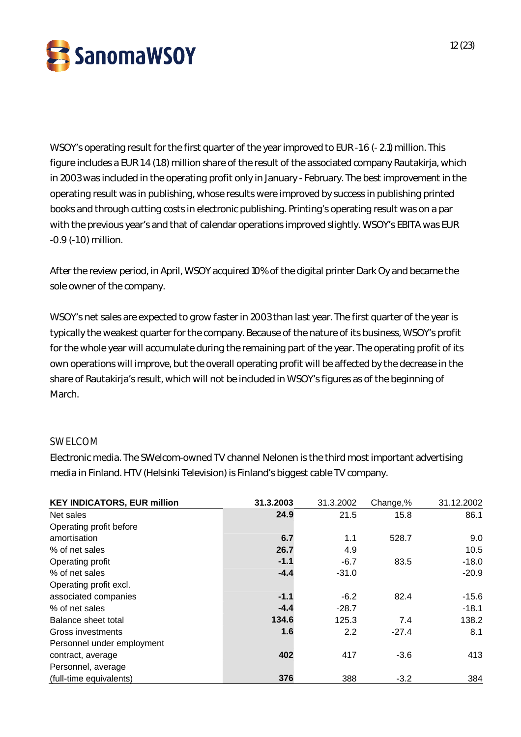

WSOY's operating result for the first quarter of the year improved to EUR -1.6 (- 2.1) million. This figure includes a EUR 1.4 (1.8) million share of the result of the associated company Rautakirja, which in 2003 was included in the operating profit only in January - February. The best improvement in the operating result was in publishing, whose results were improved by success in publishing printed books and through cutting costs in electronic publishing. Printing's operating result was on a par with the previous year's and that of calendar operations improved slightly. WSOY's EBITA was EUR -0.9 (-1.0) million.

After the review period, in April, WSOY acquired 10% of the digital printer Dark Oy and became the sole owner of the company.

WSOY's net sales are expected to grow faster in 2003 than last year. The first quarter of the year is typically the weakest quarter for the company. Because of the nature of its business, WSOY's profit for the whole year will accumulate during the remaining part of the year. The operating profit of its own operations will improve, but the overall operating profit will be affected by the decrease in the share of Rautakirja's result, which will not be included in WSOY's figures as of the beginning of March.

## SWELCOM

Electronic media. The SWelcom-owned TV channel Nelonen is the third most important advertising media in Finland. HTV (Helsinki Television) is Finland's biggest cable TV company.

| <b>KEY INDICATORS, EUR million</b> | 31.3.2003 | 31.3.2002 | Change,% | 31.12.2002 |
|------------------------------------|-----------|-----------|----------|------------|
| Net sales                          | 24.9      | 21.5      | 15.8     | 86.1       |
| Operating profit before            |           |           |          |            |
| amortisation                       | 6.7       | 1.1       | 528.7    | 9.0        |
| % of net sales                     | 26.7      | 4.9       |          | 10.5       |
| Operating profit                   | $-1.1$    | $-6.7$    | 83.5     | $-18.0$    |
| % of net sales                     | $-4.4$    | $-31.0$   |          | $-20.9$    |
| Operating profit excl.             |           |           |          |            |
| associated companies               | $-1.1$    | $-6.2$    | 82.4     | $-15.6$    |
| % of net sales                     | $-4.4$    | $-28.7$   |          | $-18.1$    |
| Balance sheet total                | 134.6     | 125.3     | 7.4      | 138.2      |
| Gross investments                  | 1.6       | 2.2       | $-27.4$  | 8.1        |
| Personnel under employment         |           |           |          |            |
| contract, average                  | 402       | 417       | $-3.6$   | 413        |
| Personnel, average                 |           |           |          |            |
| (full-time equivalents)            | 376       | 388       | $-3.2$   | 384        |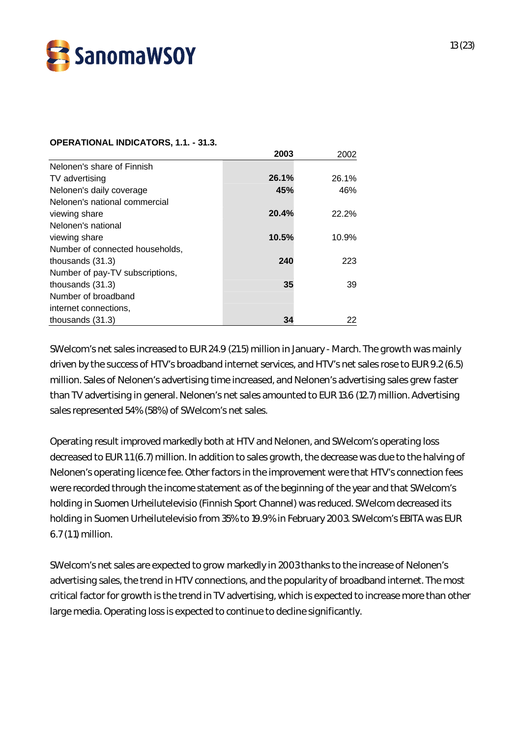

#### **OPERATIONAL INDICATORS, 1.1. - 31.3.**

|                                 | 2003  | 2002  |
|---------------------------------|-------|-------|
| Nelonen's share of Finnish      |       |       |
| TV advertising                  | 26.1% | 26.1% |
| Nelonen's daily coverage        | 45%   | 46%   |
| Nelonen's national commercial   |       |       |
| viewing share                   | 20.4% | 22.2% |
| Nelonen's national              |       |       |
| viewing share                   | 10.5% | 10.9% |
| Number of connected households, |       |       |
| thousands $(31.3)$              | 240   | 223   |
| Number of pay-TV subscriptions, |       |       |
| thousands $(31.3)$              | 35    | 39    |
| Number of broadband             |       |       |
| internet connections,           |       |       |
| thousands (31.3)                | 34    | 22    |

SWelcom's net sales increased to EUR 24.9 (21.5) million in January - March. The growth was mainly driven by the success of HTV's broadband internet services, and HTV's net sales rose to EUR 9.2 (6.5) million. Sales of Nelonen's advertising time increased, and Nelonen's advertising sales grew faster than TV advertising in general. Nelonen's net sales amounted to EUR 13.6 (12.7) million. Advertising sales represented 54% (58%) of SWelcom's net sales.

Operating result improved markedly both at HTV and Nelonen, and SWelcom's operating loss decreased to EUR 1.1 (6.7) million. In addition to sales growth, the decrease was due to the halving of Nelonen's operating licence fee. Other factors in the improvement were that HTV's connection fees were recorded through the income statement as of the beginning of the year and that SWelcom's holding in Suomen Urheilutelevisio (Finnish Sport Channel) was reduced. SWelcom decreased its holding in Suomen Urheilutelevisio from 35% to 19.9% in February 2003. SWelcom's EBITA was EUR 6.7 (1.1) million.

SWelcom's net sales are expected to grow markedly in 2003 thanks to the increase of Nelonen's advertising sales, the trend in HTV connections, and the popularity of broadband internet. The most critical factor for growth is the trend in TV advertising, which is expected to increase more than other large media. Operating loss is expected to continue to decline significantly.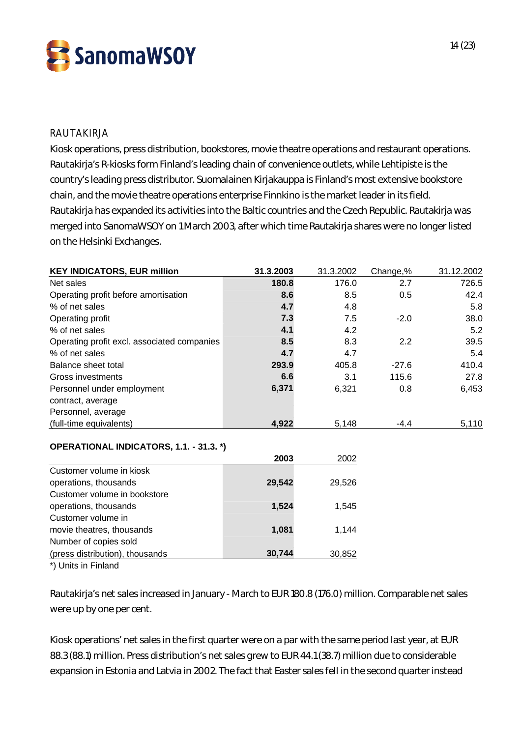

## RAUTAKIRJA

Kiosk operations, press distribution, bookstores, movie theatre operations and restaurant operations. Rautakirja's R-kiosks form Finland's leading chain of convenience outlets, while Lehtipiste is the country's leading press distributor. Suomalainen Kirjakauppa is Finland's most extensive bookstore chain, and the movie theatre operations enterprise Finnkino is the market leader in its field. Rautakirja has expanded its activities into the Baltic countries and the Czech Republic. Rautakirja was merged into SanomaWSOY on 1 March 2003, after which time Rautakirja shares were no longer listed on the Helsinki Exchanges.

| <b>KEY INDICATORS, EUR million</b>          | 31.3.2003 | 31.3.2002 | Change,% | 31.12.2002 |
|---------------------------------------------|-----------|-----------|----------|------------|
| Net sales                                   | 180.8     | 176.0     | 2.7      | 726.5      |
| Operating profit before amortisation        | 8.6       | 8.5       | 0.5      | 42.4       |
| % of net sales                              | 4.7       | 4.8       |          | 5.8        |
| Operating profit                            | 7.3       | 7.5       | $-2.0$   | 38.0       |
| % of net sales                              | 4.1       | 4.2       |          | 5.2        |
| Operating profit excl. associated companies | 8.5       | 8.3       | 2.2      | 39.5       |
| % of net sales                              | 4.7       | 4.7       |          | 5.4        |
| Balance sheet total                         | 293.9     | 405.8     | $-27.6$  | 410.4      |
| Gross investments                           | 6.6       | 3.1       | 115.6    | 27.8       |
| Personnel under employment                  | 6,371     | 6,321     | 0.8      | 6,453      |
| contract, average                           |           |           |          |            |
| Personnel, average                          |           |           |          |            |
| (full-time equivalents)                     | 4,922     | 5,148     | $-4.4$   | 5,110      |
| OPERATIONAL INDICATORS, 1.1. - 31.3. *)     |           |           |          |            |
|                                             | 2003      | 2002      |          |            |
| Customer volume in kiosk                    |           |           |          |            |
| operations, thousands                       | 29,542    | 29,526    |          |            |
| Customer volume in bookstore                |           |           |          |            |
| operations, thousands                       | 1,524     | 1,545     |          |            |
| Customer volume in                          |           |           |          |            |
| movie theatres, thousands                   | 1,081     | 1,144     |          |            |
| Number of copies sold                       |           |           |          |            |
| (press distribution), thousands             | 30,744    | 30,852    |          |            |

\*) Units in Finland

Rautakirja's net sales increased in January - March to EUR 180.8 (176.0) million. Comparable net sales were up by one per cent.

Kiosk operations' net sales in the first quarter were on a par with the same period last year, at EUR 88.3 (88.1) million. Press distribution's net sales grew to EUR 44.1 (38.7) million due to considerable expansion in Estonia and Latvia in 2002. The fact that Easter sales fell in the second quarter instead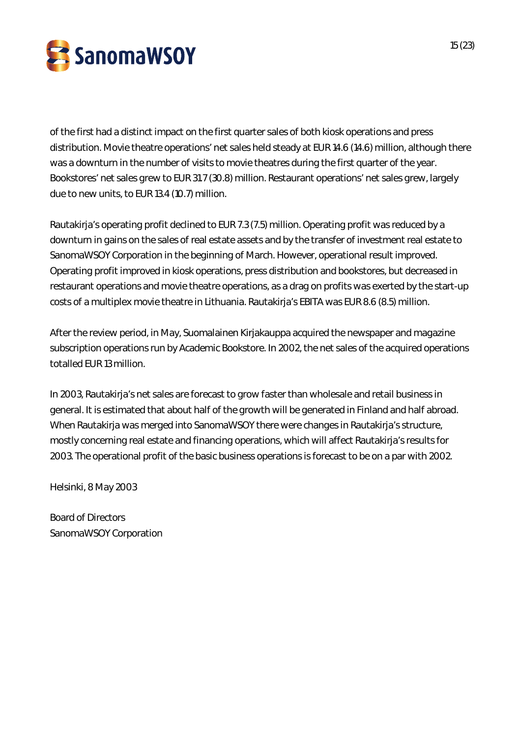

of the first had a distinct impact on the first quarter sales of both kiosk operations and press distribution. Movie theatre operations' net sales held steady at EUR 14.6 (14.6) million, although there was a downturn in the number of visits to movie theatres during the first quarter of the year. Bookstores' net sales grew to EUR 31.7 (30.8) million. Restaurant operations' net sales grew, largely due to new units, to EUR 13.4 (10.7) million.

Rautakirja's operating profit declined to EUR 7.3 (7.5) million. Operating profit was reduced by a downturn in gains on the sales of real estate assets and by the transfer of investment real estate to SanomaWSOY Corporation in the beginning of March. However, operational result improved. Operating profit improved in kiosk operations, press distribution and bookstores, but decreased in restaurant operations and movie theatre operations, as a drag on profits was exerted by the start-up costs of a multiplex movie theatre in Lithuania. Rautakirja's EBITA was EUR 8.6 (8.5) million.

After the review period, in May, Suomalainen Kirjakauppa acquired the newspaper and magazine subscription operations run by Academic Bookstore. In 2002, the net sales of the acquired operations totalled EUR 13 million.

In 2003, Rautakirja's net sales are forecast to grow faster than wholesale and retail business in general. It is estimated that about half of the growth will be generated in Finland and half abroad. When Rautakirja was merged into SanomaWSOY there were changes in Rautakirja's structure, mostly concerning real estate and financing operations, which will affect Rautakirja's results for 2003. The operational profit of the basic business operations is forecast to be on a par with 2002.

Helsinki, 8 May 2003

Board of Directors SanomaWSOY Corporation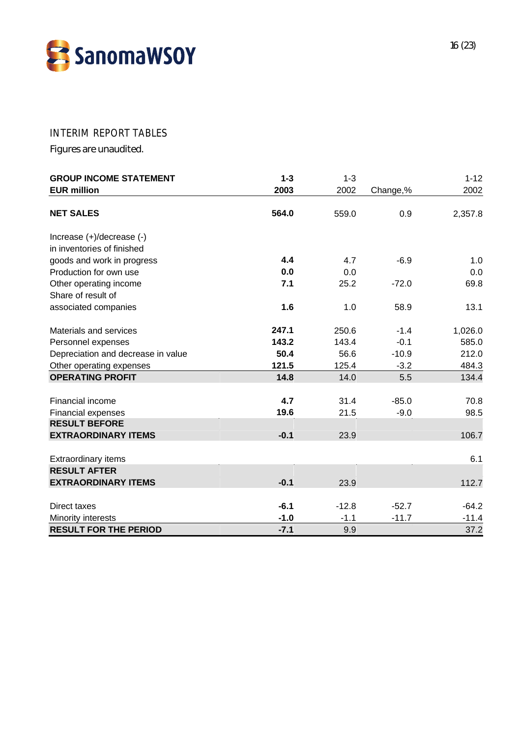

## INTERIM REPORT TABLES

Figures are unaudited.

| <b>GROUP INCOME STATEMENT</b>      | $1 - 3$ | $1 - 3$ |          | $1 - 12$ |
|------------------------------------|---------|---------|----------|----------|
| <b>EUR million</b>                 | 2003    | 2002    | Change,% | 2002     |
| <b>NET SALES</b>                   | 564.0   | 559.0   | 0.9      | 2,357.8  |
| Increase (+)/decrease (-)          |         |         |          |          |
| in inventories of finished         |         |         |          |          |
| goods and work in progress         | 4.4     | 4.7     | $-6.9$   | 1.0      |
| Production for own use             | 0.0     | 0.0     |          | 0.0      |
| Other operating income             | 7.1     | 25.2    | $-72.0$  | 69.8     |
| Share of result of                 |         |         |          |          |
| associated companies               | 1.6     | 1.0     | 58.9     | 13.1     |
| Materials and services             | 247.1   | 250.6   | $-1.4$   | 1,026.0  |
| Personnel expenses                 | 143.2   | 143.4   | $-0.1$   | 585.0    |
| Depreciation and decrease in value | 50.4    | 56.6    | $-10.9$  | 212.0    |
| Other operating expenses           | 121.5   | 125.4   | $-3.2$   | 484.3    |
| <b>OPERATING PROFIT</b>            | 14.8    | 14.0    | 5.5      | 134.4    |
|                                    |         |         |          |          |
| Financial income                   | 4.7     | 31.4    | $-85.0$  | 70.8     |
| Financial expenses                 | 19.6    | 21.5    | $-9.0$   | 98.5     |
| <b>RESULT BEFORE</b>               |         |         |          |          |
| <b>EXTRAORDINARY ITEMS</b>         | $-0.1$  | 23.9    |          | 106.7    |
| <b>Extraordinary items</b>         |         |         |          | 6.1      |
| <b>RESULT AFTER</b>                |         |         |          |          |
| <b>EXTRAORDINARY ITEMS</b>         | $-0.1$  | 23.9    |          | 112.7    |
| Direct taxes                       | $-6.1$  | $-12.8$ | $-52.7$  | $-64.2$  |
| Minority interests                 | $-1.0$  | $-1.1$  | $-11.7$  | $-11.4$  |
| <b>RESULT FOR THE PERIOD</b>       | $-7.1$  | 9.9     |          | 37.2     |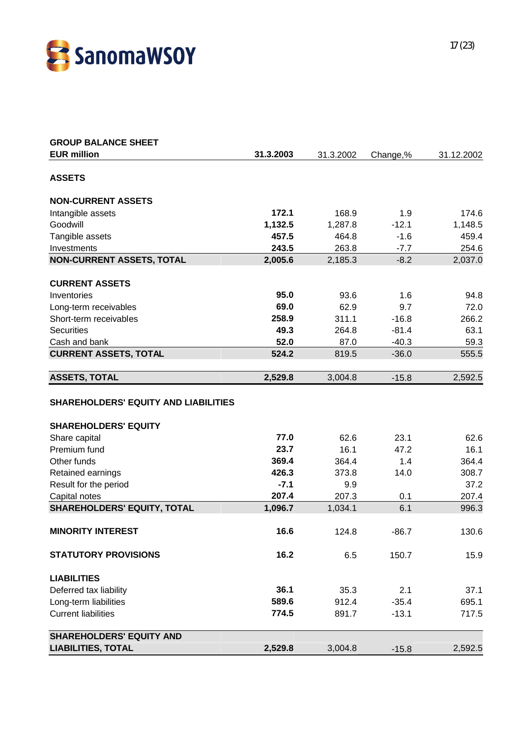

| <b>GROUP BALANCE SHEET</b>                  |           |           |          |            |
|---------------------------------------------|-----------|-----------|----------|------------|
| <b>EUR million</b>                          | 31.3.2003 | 31.3.2002 | Change,% | 31.12.2002 |
| <b>ASSETS</b>                               |           |           |          |            |
| <b>NON-CURRENT ASSETS</b>                   |           |           |          |            |
| Intangible assets                           | 172.1     | 168.9     | 1.9      | 174.6      |
| Goodwill                                    | 1,132.5   | 1,287.8   | $-12.1$  | 1,148.5    |
| Tangible assets                             | 457.5     | 464.8     | $-1.6$   | 459.4      |
| Investments                                 | 243.5     | 263.8     | $-7.7$   | 254.6      |
| <b>NON-CURRENT ASSETS, TOTAL</b>            | 2,005.6   | 2,185.3   | $-8.2$   | 2,037.0    |
| <b>CURRENT ASSETS</b>                       |           |           |          |            |
| Inventories                                 | 95.0      | 93.6      | 1.6      | 94.8       |
| Long-term receivables                       | 69.0      | 62.9      | 9.7      | 72.0       |
| Short-term receivables                      | 258.9     | 311.1     | $-16.8$  | 266.2      |
| <b>Securities</b>                           | 49.3      | 264.8     | $-81.4$  | 63.1       |
| Cash and bank                               | 52.0      | 87.0      | $-40.3$  | 59.3       |
| <b>CURRENT ASSETS, TOTAL</b>                | 524.2     | 819.5     | $-36.0$  | 555.5      |
| <b>ASSETS, TOTAL</b>                        | 2,529.8   | 3,004.8   | $-15.8$  | 2,592.5    |
| <b>SHAREHOLDERS' EQUITY AND LIABILITIES</b> |           |           |          |            |
| <b>SHAREHOLDERS' EQUITY</b>                 |           |           |          |            |
| Share capital                               | 77.0      | 62.6      | 23.1     | 62.6       |
| Premium fund                                | 23.7      | 16.1      | 47.2     | 16.1       |
| Other funds                                 | 369.4     | 364.4     | 1.4      | 364.4      |
| Retained earnings                           | 426.3     | 373.8     | 14.0     | 308.7      |
| Result for the period                       | $-7.1$    | 9.9       |          | 37.2       |
| Capital notes                               | 207.4     | 207.3     | 0.1      | 207.4      |
| <b>SHAREHOLDERS' EQUITY, TOTAL</b>          | 1,096.7   | 1,034.1   | 6.1      | 996.3      |
| <b>MINORITY INTEREST</b>                    | 16.6      | 124.8     | $-86.7$  | 130.6      |
| <b>STATUTORY PROVISIONS</b>                 | 16.2      | 6.5       | 150.7    | 15.9       |
| <b>LIABILITIES</b>                          |           |           |          |            |
| Deferred tax liability                      | 36.1      | 35.3      | 2.1      | 37.1       |
| Long-term liabilities                       | 589.6     | 912.4     | $-35.4$  | 695.1      |
| <b>Current liabilities</b>                  | 774.5     | 891.7     | $-13.1$  | 717.5      |
| <b>SHAREHOLDERS' EQUITY AND</b>             |           |           |          |            |
| <b>LIABILITIES, TOTAL</b>                   | 2,529.8   | 3,004.8   | $-15.8$  | 2,592.5    |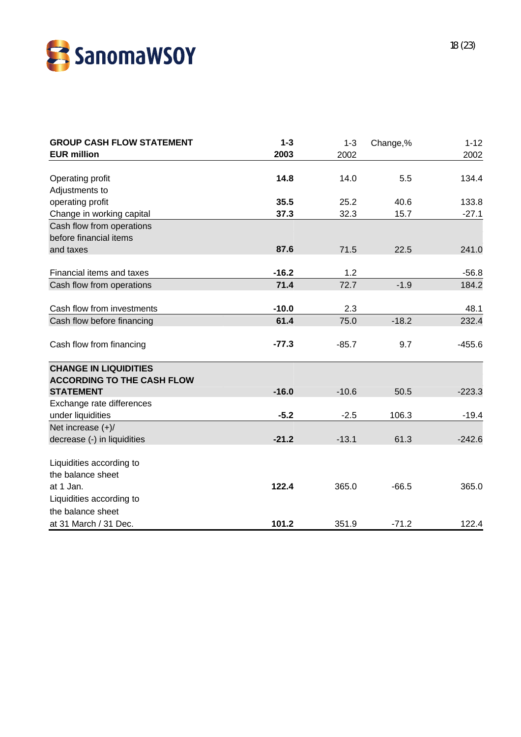

| <b>EUR million</b><br>2003<br>2002<br>2002<br>Operating profit<br>14.8<br>14.0<br>5.5<br>Adjustments to<br>35.5<br>operating profit<br>25.2<br>40.6<br>133.8<br>Change in working capital<br>37.3<br>32.3<br>15.7<br>$-27.1$<br>Cash flow from operations<br>before financial items<br>87.6<br>and taxes<br>71.5<br>22.5<br>241.0<br>$-16.2$<br>Financial items and taxes<br>1.2<br>$-56.8$<br>71.4<br>$-1.9$<br>Cash flow from operations<br>72.7<br>184.2<br>Cash flow from investments<br>$-10.0$<br>2.3<br>48.1<br>61.4<br>75.0<br>$-18.2$<br>232.4<br>Cash flow before financing<br>Cash flow from financing<br>$-77.3$<br>9.7<br>$-455.6$<br>$-85.7$<br><b>CHANGE IN LIQUIDITIES</b><br><b>ACCORDING TO THE CASH FLOW</b><br><b>STATEMENT</b><br>$-16.0$<br>$-10.6$<br>$-223.3$<br>50.5<br>Exchange rate differences<br>under liquidities<br>$-5.2$<br>$-2.5$<br>106.3<br>$-19.4$<br>Net increase $(+)/$<br>decrease (-) in liquidities<br>$-21.2$<br>$-13.1$<br>61.3<br>$-242.6$<br>Liquidities according to<br>the balance sheet<br>at 1 Jan.<br>122.4<br>365.0<br>$-66.5$<br>Liquidities according to | <b>GROUP CASH FLOW STATEMENT</b> | $1 - 3$ | $1 - 3$ | Change,% | $1 - 12$ |
|----------------------------------------------------------------------------------------------------------------------------------------------------------------------------------------------------------------------------------------------------------------------------------------------------------------------------------------------------------------------------------------------------------------------------------------------------------------------------------------------------------------------------------------------------------------------------------------------------------------------------------------------------------------------------------------------------------------------------------------------------------------------------------------------------------------------------------------------------------------------------------------------------------------------------------------------------------------------------------------------------------------------------------------------------------------------------------------------------------------|----------------------------------|---------|---------|----------|----------|
| 134.4                                                                                                                                                                                                                                                                                                                                                                                                                                                                                                                                                                                                                                                                                                                                                                                                                                                                                                                                                                                                                                                                                                          |                                  |         |         |          |          |
|                                                                                                                                                                                                                                                                                                                                                                                                                                                                                                                                                                                                                                                                                                                                                                                                                                                                                                                                                                                                                                                                                                                |                                  |         |         |          |          |
| 365.0                                                                                                                                                                                                                                                                                                                                                                                                                                                                                                                                                                                                                                                                                                                                                                                                                                                                                                                                                                                                                                                                                                          |                                  |         |         |          |          |
|                                                                                                                                                                                                                                                                                                                                                                                                                                                                                                                                                                                                                                                                                                                                                                                                                                                                                                                                                                                                                                                                                                                |                                  |         |         |          |          |
|                                                                                                                                                                                                                                                                                                                                                                                                                                                                                                                                                                                                                                                                                                                                                                                                                                                                                                                                                                                                                                                                                                                |                                  |         |         |          |          |
|                                                                                                                                                                                                                                                                                                                                                                                                                                                                                                                                                                                                                                                                                                                                                                                                                                                                                                                                                                                                                                                                                                                |                                  |         |         |          |          |
|                                                                                                                                                                                                                                                                                                                                                                                                                                                                                                                                                                                                                                                                                                                                                                                                                                                                                                                                                                                                                                                                                                                |                                  |         |         |          |          |
|                                                                                                                                                                                                                                                                                                                                                                                                                                                                                                                                                                                                                                                                                                                                                                                                                                                                                                                                                                                                                                                                                                                |                                  |         |         |          |          |
|                                                                                                                                                                                                                                                                                                                                                                                                                                                                                                                                                                                                                                                                                                                                                                                                                                                                                                                                                                                                                                                                                                                |                                  |         |         |          |          |
|                                                                                                                                                                                                                                                                                                                                                                                                                                                                                                                                                                                                                                                                                                                                                                                                                                                                                                                                                                                                                                                                                                                |                                  |         |         |          |          |
|                                                                                                                                                                                                                                                                                                                                                                                                                                                                                                                                                                                                                                                                                                                                                                                                                                                                                                                                                                                                                                                                                                                |                                  |         |         |          |          |
|                                                                                                                                                                                                                                                                                                                                                                                                                                                                                                                                                                                                                                                                                                                                                                                                                                                                                                                                                                                                                                                                                                                |                                  |         |         |          |          |
|                                                                                                                                                                                                                                                                                                                                                                                                                                                                                                                                                                                                                                                                                                                                                                                                                                                                                                                                                                                                                                                                                                                |                                  |         |         |          |          |
|                                                                                                                                                                                                                                                                                                                                                                                                                                                                                                                                                                                                                                                                                                                                                                                                                                                                                                                                                                                                                                                                                                                |                                  |         |         |          |          |
|                                                                                                                                                                                                                                                                                                                                                                                                                                                                                                                                                                                                                                                                                                                                                                                                                                                                                                                                                                                                                                                                                                                |                                  |         |         |          |          |
|                                                                                                                                                                                                                                                                                                                                                                                                                                                                                                                                                                                                                                                                                                                                                                                                                                                                                                                                                                                                                                                                                                                |                                  |         |         |          |          |
|                                                                                                                                                                                                                                                                                                                                                                                                                                                                                                                                                                                                                                                                                                                                                                                                                                                                                                                                                                                                                                                                                                                |                                  |         |         |          |          |
|                                                                                                                                                                                                                                                                                                                                                                                                                                                                                                                                                                                                                                                                                                                                                                                                                                                                                                                                                                                                                                                                                                                |                                  |         |         |          |          |
|                                                                                                                                                                                                                                                                                                                                                                                                                                                                                                                                                                                                                                                                                                                                                                                                                                                                                                                                                                                                                                                                                                                |                                  |         |         |          |          |
|                                                                                                                                                                                                                                                                                                                                                                                                                                                                                                                                                                                                                                                                                                                                                                                                                                                                                                                                                                                                                                                                                                                |                                  |         |         |          |          |
|                                                                                                                                                                                                                                                                                                                                                                                                                                                                                                                                                                                                                                                                                                                                                                                                                                                                                                                                                                                                                                                                                                                |                                  |         |         |          |          |
|                                                                                                                                                                                                                                                                                                                                                                                                                                                                                                                                                                                                                                                                                                                                                                                                                                                                                                                                                                                                                                                                                                                |                                  |         |         |          |          |
|                                                                                                                                                                                                                                                                                                                                                                                                                                                                                                                                                                                                                                                                                                                                                                                                                                                                                                                                                                                                                                                                                                                |                                  |         |         |          |          |
|                                                                                                                                                                                                                                                                                                                                                                                                                                                                                                                                                                                                                                                                                                                                                                                                                                                                                                                                                                                                                                                                                                                |                                  |         |         |          |          |
|                                                                                                                                                                                                                                                                                                                                                                                                                                                                                                                                                                                                                                                                                                                                                                                                                                                                                                                                                                                                                                                                                                                |                                  |         |         |          |          |
|                                                                                                                                                                                                                                                                                                                                                                                                                                                                                                                                                                                                                                                                                                                                                                                                                                                                                                                                                                                                                                                                                                                | the balance sheet                |         |         |          |          |
| 101.2<br>at 31 March / 31 Dec.<br>351.9<br>$-71.2$<br>122.4                                                                                                                                                                                                                                                                                                                                                                                                                                                                                                                                                                                                                                                                                                                                                                                                                                                                                                                                                                                                                                                    |                                  |         |         |          |          |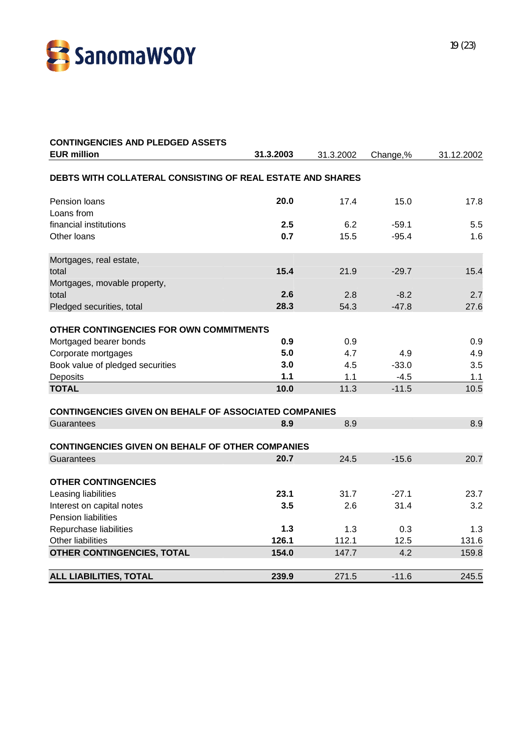

| <b>EUR million</b><br>31.3.2003<br>31.3.2002<br>Change,%<br>31.12.2002<br>DEBTS WITH COLLATERAL CONSISTING OF REAL ESTATE AND SHARES<br>20.0<br>Pension loans<br>17.4<br>15.0<br>17.8<br>Loans from<br>financial institutions<br>2.5<br>6.2<br>$-59.1$<br>5.5<br>0.7<br>Other loans<br>15.5<br>$-95.4$<br>1.6<br>Mortgages, real estate,<br>15.4<br>21.9<br>15.4<br>total<br>$-29.7$<br>Mortgages, movable property,<br>2.6<br>total<br>2.8<br>$-8.2$<br>2.7<br>28.3<br>54.3<br>$-47.8$<br>Pledged securities, total<br>27.6<br>OTHER CONTINGENCIES FOR OWN COMMITMENTS<br>0.9<br>0.9<br>Mortgaged bearer bonds<br>0.9<br>5.0<br>4.7<br>4.9<br>4.9<br>Corporate mortgages<br>Book value of pledged securities<br>3.0<br>4.5<br>$-33.0$<br>3.5<br>1.1<br>Deposits<br>1.1<br>$-4.5$<br>1.1<br><b>TOTAL</b><br>11.3<br>10.5<br>10.0<br>$-11.5$<br><b>CONTINGENCIES GIVEN ON BEHALF OF ASSOCIATED COMPANIES</b><br>8.9<br>8.9<br>8.9<br>Guarantees<br><b>CONTINGENCIES GIVEN ON BEHALF OF OTHER COMPANIES</b><br>20.7<br>24.5<br>$-15.6$<br>20.7<br>Guarantees<br><b>OTHER CONTINGENCIES</b><br>23.1<br>Leasing liabilities<br>31.7<br>$-27.1$<br>3.5<br>Interest on capital notes<br>2.6<br>31.4<br>3.2<br><b>Pension liabilities</b><br>1.3<br>Repurchase liabilities<br>1.3<br>1.3<br>0.3<br>126.1<br>Other liabilities<br>112.1<br>12.5<br>131.6<br>154.0<br>4.2<br>159.8<br>OTHER CONTINGENCIES, TOTAL<br>147.7 | <b>CONTINGENCIES AND PLEDGED ASSETS</b> |       |       |         |       |
|------------------------------------------------------------------------------------------------------------------------------------------------------------------------------------------------------------------------------------------------------------------------------------------------------------------------------------------------------------------------------------------------------------------------------------------------------------------------------------------------------------------------------------------------------------------------------------------------------------------------------------------------------------------------------------------------------------------------------------------------------------------------------------------------------------------------------------------------------------------------------------------------------------------------------------------------------------------------------------------------------------------------------------------------------------------------------------------------------------------------------------------------------------------------------------------------------------------------------------------------------------------------------------------------------------------------------------------------------------------------------------------------------------------|-----------------------------------------|-------|-------|---------|-------|
|                                                                                                                                                                                                                                                                                                                                                                                                                                                                                                                                                                                                                                                                                                                                                                                                                                                                                                                                                                                                                                                                                                                                                                                                                                                                                                                                                                                                                  |                                         |       |       |         |       |
|                                                                                                                                                                                                                                                                                                                                                                                                                                                                                                                                                                                                                                                                                                                                                                                                                                                                                                                                                                                                                                                                                                                                                                                                                                                                                                                                                                                                                  |                                         |       |       |         |       |
| 23.7                                                                                                                                                                                                                                                                                                                                                                                                                                                                                                                                                                                                                                                                                                                                                                                                                                                                                                                                                                                                                                                                                                                                                                                                                                                                                                                                                                                                             |                                         |       |       |         |       |
|                                                                                                                                                                                                                                                                                                                                                                                                                                                                                                                                                                                                                                                                                                                                                                                                                                                                                                                                                                                                                                                                                                                                                                                                                                                                                                                                                                                                                  |                                         |       |       |         |       |
|                                                                                                                                                                                                                                                                                                                                                                                                                                                                                                                                                                                                                                                                                                                                                                                                                                                                                                                                                                                                                                                                                                                                                                                                                                                                                                                                                                                                                  |                                         |       |       |         |       |
|                                                                                                                                                                                                                                                                                                                                                                                                                                                                                                                                                                                                                                                                                                                                                                                                                                                                                                                                                                                                                                                                                                                                                                                                                                                                                                                                                                                                                  |                                         |       |       |         |       |
|                                                                                                                                                                                                                                                                                                                                                                                                                                                                                                                                                                                                                                                                                                                                                                                                                                                                                                                                                                                                                                                                                                                                                                                                                                                                                                                                                                                                                  |                                         |       |       |         |       |
|                                                                                                                                                                                                                                                                                                                                                                                                                                                                                                                                                                                                                                                                                                                                                                                                                                                                                                                                                                                                                                                                                                                                                                                                                                                                                                                                                                                                                  |                                         |       |       |         |       |
|                                                                                                                                                                                                                                                                                                                                                                                                                                                                                                                                                                                                                                                                                                                                                                                                                                                                                                                                                                                                                                                                                                                                                                                                                                                                                                                                                                                                                  |                                         |       |       |         |       |
|                                                                                                                                                                                                                                                                                                                                                                                                                                                                                                                                                                                                                                                                                                                                                                                                                                                                                                                                                                                                                                                                                                                                                                                                                                                                                                                                                                                                                  |                                         |       |       |         |       |
|                                                                                                                                                                                                                                                                                                                                                                                                                                                                                                                                                                                                                                                                                                                                                                                                                                                                                                                                                                                                                                                                                                                                                                                                                                                                                                                                                                                                                  |                                         |       |       |         |       |
|                                                                                                                                                                                                                                                                                                                                                                                                                                                                                                                                                                                                                                                                                                                                                                                                                                                                                                                                                                                                                                                                                                                                                                                                                                                                                                                                                                                                                  |                                         |       |       |         |       |
|                                                                                                                                                                                                                                                                                                                                                                                                                                                                                                                                                                                                                                                                                                                                                                                                                                                                                                                                                                                                                                                                                                                                                                                                                                                                                                                                                                                                                  |                                         |       |       |         |       |
|                                                                                                                                                                                                                                                                                                                                                                                                                                                                                                                                                                                                                                                                                                                                                                                                                                                                                                                                                                                                                                                                                                                                                                                                                                                                                                                                                                                                                  |                                         |       |       |         |       |
|                                                                                                                                                                                                                                                                                                                                                                                                                                                                                                                                                                                                                                                                                                                                                                                                                                                                                                                                                                                                                                                                                                                                                                                                                                                                                                                                                                                                                  |                                         |       |       |         |       |
|                                                                                                                                                                                                                                                                                                                                                                                                                                                                                                                                                                                                                                                                                                                                                                                                                                                                                                                                                                                                                                                                                                                                                                                                                                                                                                                                                                                                                  |                                         |       |       |         |       |
|                                                                                                                                                                                                                                                                                                                                                                                                                                                                                                                                                                                                                                                                                                                                                                                                                                                                                                                                                                                                                                                                                                                                                                                                                                                                                                                                                                                                                  |                                         |       |       |         |       |
|                                                                                                                                                                                                                                                                                                                                                                                                                                                                                                                                                                                                                                                                                                                                                                                                                                                                                                                                                                                                                                                                                                                                                                                                                                                                                                                                                                                                                  |                                         |       |       |         |       |
|                                                                                                                                                                                                                                                                                                                                                                                                                                                                                                                                                                                                                                                                                                                                                                                                                                                                                                                                                                                                                                                                                                                                                                                                                                                                                                                                                                                                                  |                                         |       |       |         |       |
|                                                                                                                                                                                                                                                                                                                                                                                                                                                                                                                                                                                                                                                                                                                                                                                                                                                                                                                                                                                                                                                                                                                                                                                                                                                                                                                                                                                                                  |                                         |       |       |         |       |
|                                                                                                                                                                                                                                                                                                                                                                                                                                                                                                                                                                                                                                                                                                                                                                                                                                                                                                                                                                                                                                                                                                                                                                                                                                                                                                                                                                                                                  |                                         |       |       |         |       |
|                                                                                                                                                                                                                                                                                                                                                                                                                                                                                                                                                                                                                                                                                                                                                                                                                                                                                                                                                                                                                                                                                                                                                                                                                                                                                                                                                                                                                  |                                         |       |       |         |       |
|                                                                                                                                                                                                                                                                                                                                                                                                                                                                                                                                                                                                                                                                                                                                                                                                                                                                                                                                                                                                                                                                                                                                                                                                                                                                                                                                                                                                                  |                                         |       |       |         |       |
|                                                                                                                                                                                                                                                                                                                                                                                                                                                                                                                                                                                                                                                                                                                                                                                                                                                                                                                                                                                                                                                                                                                                                                                                                                                                                                                                                                                                                  |                                         |       |       |         |       |
|                                                                                                                                                                                                                                                                                                                                                                                                                                                                                                                                                                                                                                                                                                                                                                                                                                                                                                                                                                                                                                                                                                                                                                                                                                                                                                                                                                                                                  |                                         |       |       |         |       |
|                                                                                                                                                                                                                                                                                                                                                                                                                                                                                                                                                                                                                                                                                                                                                                                                                                                                                                                                                                                                                                                                                                                                                                                                                                                                                                                                                                                                                  |                                         |       |       |         |       |
|                                                                                                                                                                                                                                                                                                                                                                                                                                                                                                                                                                                                                                                                                                                                                                                                                                                                                                                                                                                                                                                                                                                                                                                                                                                                                                                                                                                                                  |                                         |       |       |         |       |
|                                                                                                                                                                                                                                                                                                                                                                                                                                                                                                                                                                                                                                                                                                                                                                                                                                                                                                                                                                                                                                                                                                                                                                                                                                                                                                                                                                                                                  |                                         |       |       |         |       |
|                                                                                                                                                                                                                                                                                                                                                                                                                                                                                                                                                                                                                                                                                                                                                                                                                                                                                                                                                                                                                                                                                                                                                                                                                                                                                                                                                                                                                  |                                         |       |       |         |       |
|                                                                                                                                                                                                                                                                                                                                                                                                                                                                                                                                                                                                                                                                                                                                                                                                                                                                                                                                                                                                                                                                                                                                                                                                                                                                                                                                                                                                                  |                                         |       |       |         |       |
|                                                                                                                                                                                                                                                                                                                                                                                                                                                                                                                                                                                                                                                                                                                                                                                                                                                                                                                                                                                                                                                                                                                                                                                                                                                                                                                                                                                                                  | <b>ALL LIABILITIES, TOTAL</b>           | 239.9 | 271.5 | $-11.6$ | 245.5 |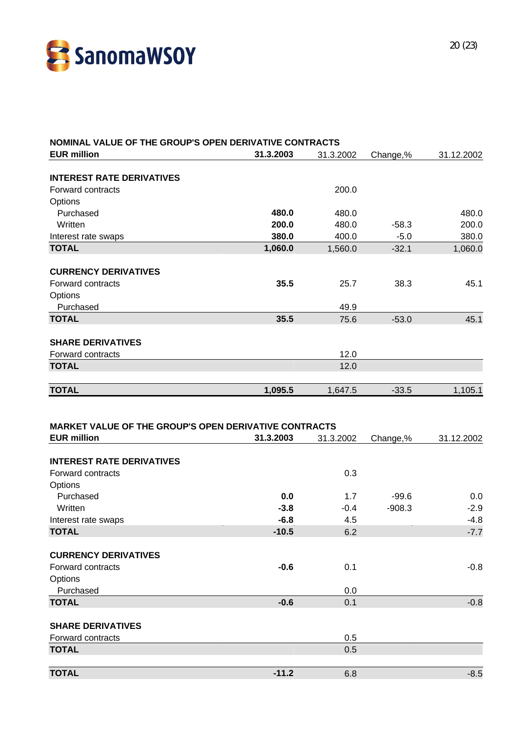

| NOMINAL VALUE OF THE GROUP'S OPEN DERIVATIVE CONTRACTS                             |           |           |          |            |
|------------------------------------------------------------------------------------|-----------|-----------|----------|------------|
| <b>EUR million</b>                                                                 | 31.3.2003 | 31.3.2002 | Change,% | 31.12.2002 |
| <b>INTEREST RATE DERIVATIVES</b>                                                   |           |           |          |            |
| Forward contracts                                                                  |           | 200.0     |          |            |
| Options                                                                            |           |           |          |            |
| Purchased                                                                          | 480.0     | 480.0     |          | 480.0      |
| Written                                                                            | 200.0     | 480.0     | $-58.3$  | 200.0      |
| Interest rate swaps                                                                | 380.0     | 400.0     | $-5.0$   | 380.0      |
| <b>TOTAL</b>                                                                       | 1,060.0   | 1,560.0   | $-32.1$  | 1,060.0    |
|                                                                                    |           |           |          |            |
| <b>CURRENCY DERIVATIVES</b>                                                        |           |           |          |            |
| Forward contracts                                                                  | 35.5      | 25.7      | 38.3     | 45.1       |
| Options                                                                            |           |           |          |            |
| Purchased                                                                          |           | 49.9      |          |            |
| <b>TOTAL</b>                                                                       | 35.5      | 75.6      | $-53.0$  | 45.1       |
| <b>SHARE DERIVATIVES</b>                                                           |           |           |          |            |
| Forward contracts                                                                  |           | 12.0      |          |            |
| <b>TOTAL</b>                                                                       |           | 12.0      |          |            |
|                                                                                    |           |           |          |            |
| <b>TOTAL</b>                                                                       | 1,095.5   | 1,647.5   | $-33.5$  | 1,105.1    |
| <b>MARKET VALUE OF THE GROUP'S OPEN DERIVATIVE CONTRACTS</b><br><b>EUR million</b> | 31.3.2003 | 31.3.2002 | Change,% | 31.12.2002 |
|                                                                                    |           |           |          |            |
| <b>INTEREST RATE DERIVATIVES</b>                                                   |           |           |          |            |
| Forward contracts<br>Options                                                       |           | 0.3       |          |            |
| Purchased                                                                          | 0.0       | 1.7       | $-99.6$  | 0.0        |
| Written                                                                            | $-3.8$    | $-0.4$    | $-908.3$ | $-2.9$     |
| Interest rate swaps                                                                | $-6.8$    | 4.5       |          | $-4.8$     |
| <b>TOTAL</b>                                                                       | $-10.5$   | 6.2       |          | $-7.7$     |
|                                                                                    |           |           |          |            |
| <b>CURRENCY DERIVATIVES</b>                                                        |           |           |          |            |
| Forward contracts                                                                  | $-0.6$    | 0.1       |          | $-0.8$     |
| Options                                                                            |           |           |          |            |
| Purchased                                                                          |           | 0.0       |          |            |
| <b>TOTAL</b>                                                                       | $-0.6$    | 0.1       |          | $-0.8$     |
| <b>SHARE DERIVATIVES</b>                                                           |           |           |          |            |
| Forward contracts                                                                  |           |           |          |            |
|                                                                                    |           | 0.5       |          |            |
| <b>TOTAL</b>                                                                       |           | 0.5       |          |            |
|                                                                                    |           |           |          |            |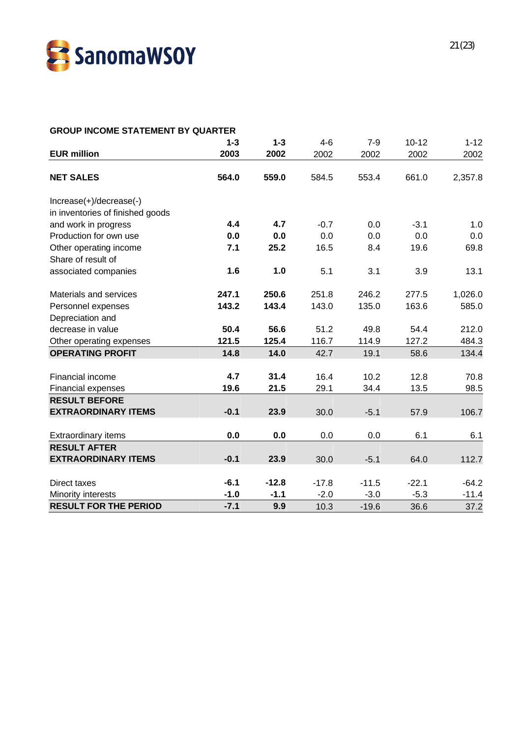

#### **GROUP INCOME STATEMENT BY QUARTER**

| 2002<br>2,357.8 |
|-----------------|
|                 |
|                 |
|                 |
|                 |
|                 |
| 1.0             |
| 0.0             |
| 69.8            |
|                 |
| 13.1            |
| 1,026.0         |
| 585.0           |
|                 |
| 212.0           |
| 484.3           |
| 134.4           |
|                 |
| 70.8            |
| 98.5            |
|                 |
| 106.7           |
|                 |
| 6.1             |
|                 |
| 112.7           |
| $-64.2$         |
| $-11.4$         |
| 37.2            |
|                 |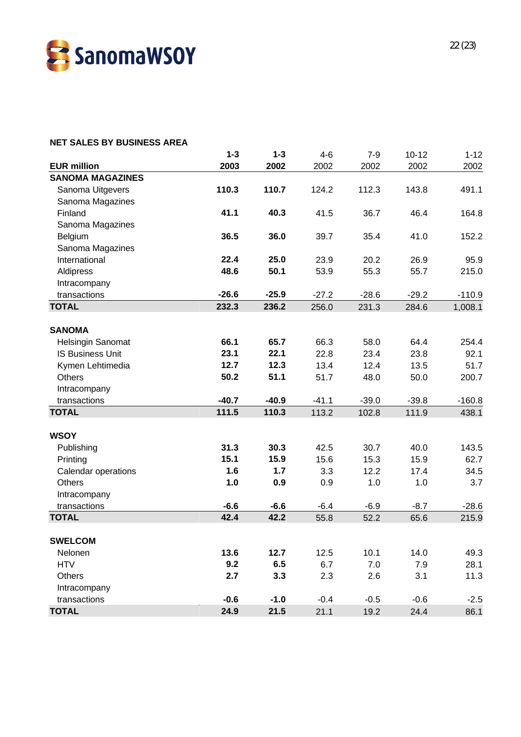

#### **NET SALES BY BUSINESS AREA**

|                          | $1 - 3$ | $1 - 3$ | $4-6$   | $7-9$   | $10 - 12$ | $1 - 12$ |
|--------------------------|---------|---------|---------|---------|-----------|----------|
| <b>EUR million</b>       | 2003    | 2002    | 2002    | 2002    | 2002      | 2002     |
| <b>SANOMA MAGAZINES</b>  |         |         |         |         |           |          |
| Sanoma Uitgevers         | 110.3   | 110.7   | 124.2   | 112.3   | 143.8     | 491.1    |
| Sanoma Magazines         |         |         |         |         |           |          |
| Finland                  | 41.1    | 40.3    | 41.5    | 36.7    | 46.4      | 164.8    |
| Sanoma Magazines         |         |         |         |         |           |          |
| Belgium                  | 36.5    | 36.0    | 39.7    | 35.4    | 41.0      | 152.2    |
| Sanoma Magazines         |         |         |         |         |           |          |
| International            | 22.4    | 25.0    | 23.9    | 20.2    | 26.9      | 95.9     |
| Aldipress                | 48.6    | 50.1    | 53.9    | 55.3    | 55.7      | 215.0    |
| Intracompany             |         |         |         |         |           |          |
| transactions             | $-26.6$ | $-25.9$ | $-27.2$ | $-28.6$ | $-29.2$   | $-110.9$ |
| <b>TOTAL</b>             | 232.3   | 236.2   | 256.0   | 231.3   | 284.6     | 1,008.1  |
|                          |         |         |         |         |           |          |
| <b>SANOMA</b>            |         |         |         |         |           |          |
| <b>Helsingin Sanomat</b> | 66.1    | 65.7    | 66.3    | 58.0    | 64.4      | 254.4    |
| <b>IS Business Unit</b>  | 23.1    | 22.1    | 22.8    | 23.4    | 23.8      | 92.1     |
| Kymen Lehtimedia         | 12.7    | 12.3    | 13.4    | 12.4    | 13.5      | 51.7     |
| <b>Others</b>            | 50.2    | 51.1    | 51.7    | 48.0    | 50.0      | 200.7    |
| Intracompany             |         |         |         |         |           |          |
| transactions             | $-40.7$ | $-40.9$ | $-41.1$ | $-39.0$ | $-39.8$   | $-160.8$ |
| <b>TOTAL</b>             | 111.5   | 110.3   | 113.2   | 102.8   | 111.9     | 438.1    |
|                          |         |         |         |         |           |          |
| <b>WSOY</b>              |         |         |         |         |           |          |
| Publishing               | 31.3    | 30.3    | 42.5    | 30.7    | 40.0      | 143.5    |
| Printing                 | 15.1    | 15.9    | 15.6    | 15.3    | 15.9      | 62.7     |
| Calendar operations      | 1.6     | 1.7     | 3.3     | 12.2    | 17.4      | 34.5     |
| <b>Others</b>            | 1.0     | 0.9     | 0.9     | 1.0     | 1.0       | 3.7      |
| Intracompany             |         |         |         |         |           |          |
| transactions             | $-6.6$  | $-6.6$  | $-6.4$  | $-6.9$  | $-8.7$    | $-28.6$  |
| <b>TOTAL</b>             | 42.4    | 42.2    | 55.8    | 52.2    | 65.6      | 215.9    |
|                          |         |         |         |         |           |          |
| <b>SWELCOM</b>           |         |         |         |         |           |          |
| Nelonen                  | 13.6    | 12.7    | 12.5    | 10.1    | 14.0      | 49.3     |
| <b>HTV</b>               | 9.2     | 6.5     | 6.7     | 7.0     | 7.9       | 28.1     |
| Others                   | 2.7     | 3.3     | 2.3     | 2.6     | 3.1       | 11.3     |
| Intracompany             |         |         |         |         |           |          |
| transactions             | $-0.6$  | $-1.0$  | $-0.4$  | $-0.5$  | $-0.6$    | $-2.5$   |
| <b>TOTAL</b>             | 24.9    | 21.5    | 21.1    | 19.2    | 24.4      | 86.1     |